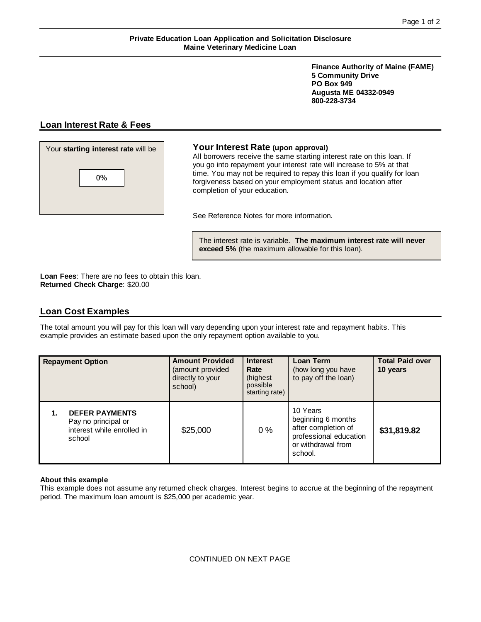**Finance Authority of Maine (FAME) 5 Community Drive PO Box 949 Augusta ME 04332-0949 800-228-3734**

# **Loan Interest Rate & Fees**



## Your **starting interest rate** will be **Your Interest Rate (upon approval)**

All borrowers receive the same starting interest rate on this loan. If you go into repayment your interest rate will increase to 5% at that time. You may not be required to repay this loan if you qualify for loan forgiveness based on your employment status and location after completion of your education.

See Reference Notes for more information.

The interest rate is variable. **The maximum interest rate will never exceed 5%** (the maximum allowable for this loan).

**Loan Fees**: There are no fees to obtain this loan. **Returned Check Charge**: \$20.00

## **Loan Cost Examples**

The total amount you will pay for this loan will vary depending upon your interest rate and repayment habits. This example provides an estimate based upon the only repayment option available to you.

| <b>Repayment Option</b>                                                              | <b>Amount Provided</b><br>(amount provided<br>directly to your<br>school) | <b>Interest</b><br>Rate<br>(highest<br>possible<br>starting rate) | Loan Term<br>(how long you have<br>to pay off the loan)                                                          | <b>Total Paid over</b><br>10 years |
|--------------------------------------------------------------------------------------|---------------------------------------------------------------------------|-------------------------------------------------------------------|------------------------------------------------------------------------------------------------------------------|------------------------------------|
| <b>DEFER PAYMENTS</b><br>Pay no principal or<br>interest while enrolled in<br>school | \$25,000                                                                  | 0%                                                                | 10 Years<br>beginning 6 months<br>after completion of<br>professional education<br>or withdrawal from<br>school. | \$31,819.82                        |

## **About this example**

This example does not assume any returned check charges. Interest begins to accrue at the beginning of the repayment period. The maximum loan amount is \$25,000 per academic year.